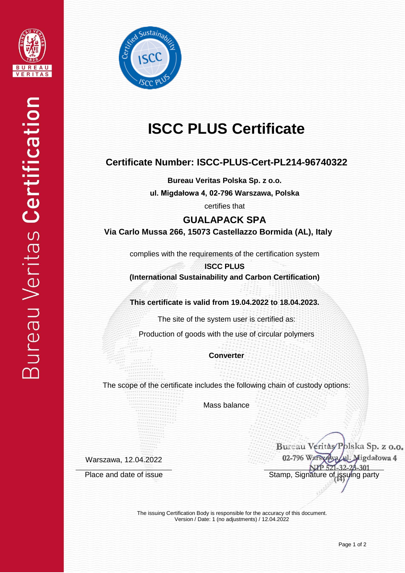



# **ISCC PLUS Certificate**

### **Certificate Number: ISCC-PLUS-Cert-PL214-96740322**

**Bureau Veritas Polska Sp. z o.o.**

**ul. Migdałowa 4, 02-796 Warszawa, Polska**

certifies that

## **GUALAPACK SPA Via Carlo Mussa 266, 15073 Castellazzo Bormida (AL), Italy**

complies with the requirements of the certification system

**ISCC PLUS (International Sustainability and Carbon Certification)**

**This certificate is valid from 19.04.2022 to 18.04.2023.**

The site of the system user is certified as:

Production of goods with the use of circular polymers

**Converter**

The scope of the certificate includes the following chain of custody options:

Mass balance

Warszawa, 12.04.2022

Bureau Veritàs/Polska Sp. z o.o. 02-796 Warsvawa ul. Migdałowa 4  $1 - 32$ Place and date of issue Stamp, Signature of issuing party

The issuing Certification Body is responsible for the accuracy of this document. Version / Date: 1 (no adjustments) / 12.04.2022